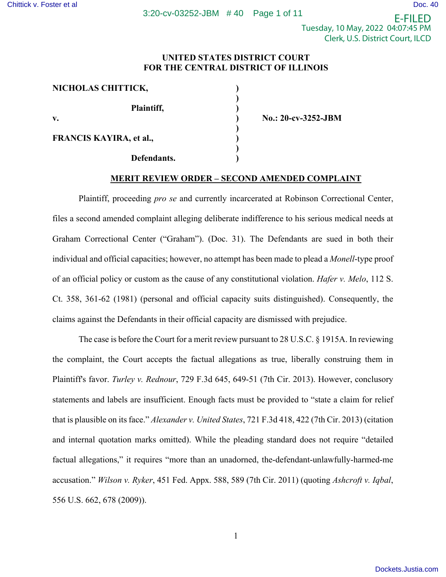E-FILED Tuesday, 10 May, 2022 04:07:45 PM Clerk, U.S. District Court, ILCD

# **UNITED STATES DISTRICT COURT FOR THE CENTRAL DISTRICT OF ILLINOIS**

| NICHOLAS CHITTICK,             |  |
|--------------------------------|--|
| Plaintiff,                     |  |
| v.                             |  |
| <b>FRANCIS KAYIRA, et al.,</b> |  |
| Defendants.                    |  |

**v. ) No.: 20-cv-3252-JBM** 

#### **MERIT REVIEW ORDER – SECOND AMENDED COMPLAINT**

Plaintiff, proceeding *pro se* and currently incarcerated at Robinson Correctional Center, files a second amended complaint alleging deliberate indifference to his serious medical needs at Graham Correctional Center ("Graham"). (Doc. 31). The Defendants are sued in both their individual and official capacities; however, no attempt has been made to plead a *Monell*-type proof of an official policy or custom as the cause of any constitutional violation. *Hafer v. Melo*, 112 S. Ct. 358, 361-62 (1981) (personal and official capacity suits distinguished). Consequently, the claims against the Defendants in their official capacity are dismissed with prejudice.

The case is before the Court for a merit review pursuant to 28 U.S.C. § 1915A. In reviewing the complaint, the Court accepts the factual allegations as true, liberally construing them in Plaintiff's favor. *Turley v. Rednour*, 729 F.3d 645, 649-51 (7th Cir. 2013). However, conclusory statements and labels are insufficient. Enough facts must be provided to "state a claim for relief that is plausible on its face." *Alexander v. United States*, 721 F.3d 418, 422 (7th Cir. 2013) (citation and internal quotation marks omitted). While the pleading standard does not require "detailed factual allegations," it requires "more than an unadorned, the-defendant-unlawfully-harmed-me accusation." *Wilson v. Ryker*, 451 Fed. Appx. 588, 589 (7th Cir. 2011) (quoting *Ashcroft v. Iqbal*, 556 U.S. 662, 678 (2009)).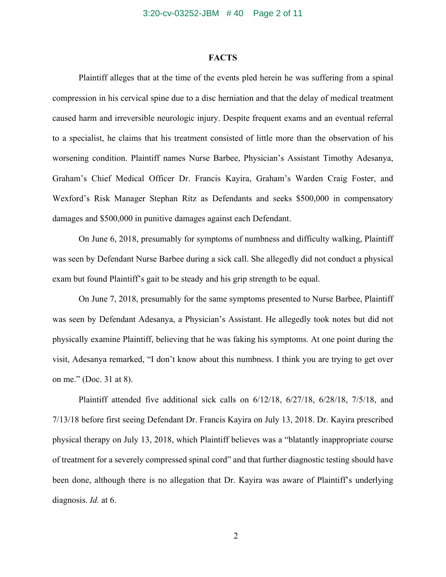### **FACTS**

Plaintiff alleges that at the time of the events pled herein he was suffering from a spinal compression in his cervical spine due to a disc herniation and that the delay of medical treatment caused harm and irreversible neurologic injury. Despite frequent exams and an eventual referral to a specialist, he claims that his treatment consisted of little more than the observation of his worsening condition. Plaintiff names Nurse Barbee, Physician's Assistant Timothy Adesanya, Graham's Chief Medical Officer Dr. Francis Kayira, Graham's Warden Craig Foster, and Wexford's Risk Manager Stephan Ritz as Defendants and seeks \$500,000 in compensatory damages and \$500,000 in punitive damages against each Defendant.

On June 6, 2018, presumably for symptoms of numbness and difficulty walking, Plaintiff was seen by Defendant Nurse Barbee during a sick call. She allegedly did not conduct a physical exam but found Plaintiff's gait to be steady and his grip strength to be equal.

On June 7, 2018, presumably for the same symptoms presented to Nurse Barbee, Plaintiff was seen by Defendant Adesanya, a Physician's Assistant. He allegedly took notes but did not physically examine Plaintiff, believing that he was faking his symptoms. At one point during the visit, Adesanya remarked, "I don't know about this numbness. I think you are trying to get over on me." (Doc. 31 at 8).

Plaintiff attended five additional sick calls on 6/12/18, 6/27/18, 6/28/18, 7/5/18, and 7/13/18 before first seeing Defendant Dr. Francis Kayira on July 13, 2018. Dr. Kayira prescribed physical therapy on July 13, 2018, which Plaintiff believes was a "blatantly inappropriate course of treatment for a severely compressed spinal cord" and that further diagnostic testing should have been done, although there is no allegation that Dr. Kayira was aware of Plaintiff's underlying diagnosis. *Id.* at 6.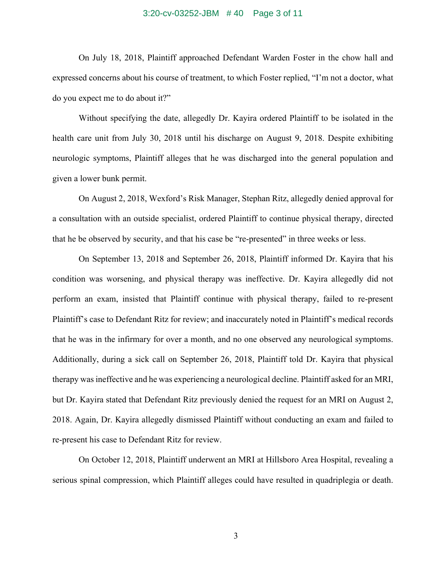### 3:20-cv-03252-JBM # 40 Page 3 of 11

On July 18, 2018, Plaintiff approached Defendant Warden Foster in the chow hall and expressed concerns about his course of treatment, to which Foster replied, "I'm not a doctor, what do you expect me to do about it?"

Without specifying the date, allegedly Dr. Kayira ordered Plaintiff to be isolated in the health care unit from July 30, 2018 until his discharge on August 9, 2018. Despite exhibiting neurologic symptoms, Plaintiff alleges that he was discharged into the general population and given a lower bunk permit.

On August 2, 2018, Wexford's Risk Manager, Stephan Ritz, allegedly denied approval for a consultation with an outside specialist, ordered Plaintiff to continue physical therapy, directed that he be observed by security, and that his case be "re-presented" in three weeks or less.

On September 13, 2018 and September 26, 2018, Plaintiff informed Dr. Kayira that his condition was worsening, and physical therapy was ineffective. Dr. Kayira allegedly did not perform an exam, insisted that Plaintiff continue with physical therapy, failed to re-present Plaintiff's case to Defendant Ritz for review; and inaccurately noted in Plaintiff's medical records that he was in the infirmary for over a month, and no one observed any neurological symptoms. Additionally, during a sick call on September 26, 2018, Plaintiff told Dr. Kayira that physical therapy was ineffective and he was experiencing a neurological decline. Plaintiff asked for an MRI, but Dr. Kayira stated that Defendant Ritz previously denied the request for an MRI on August 2, 2018. Again, Dr. Kayira allegedly dismissed Plaintiff without conducting an exam and failed to re-present his case to Defendant Ritz for review.

On October 12, 2018, Plaintiff underwent an MRI at Hillsboro Area Hospital, revealing a serious spinal compression, which Plaintiff alleges could have resulted in quadriplegia or death.

3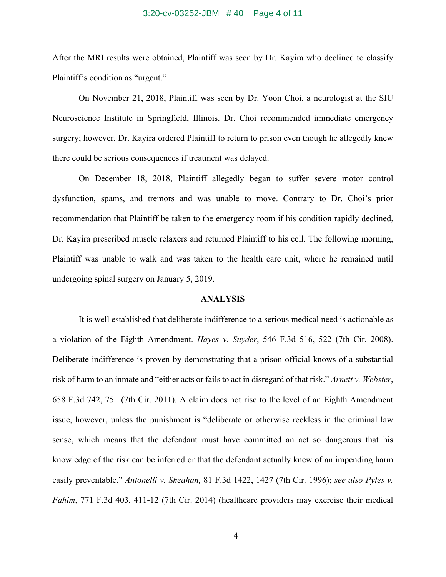#### 3:20-cv-03252-JBM # 40 Page 4 of 11

After the MRI results were obtained, Plaintiff was seen by Dr. Kayira who declined to classify Plaintiff's condition as "urgent."

On November 21, 2018, Plaintiff was seen by Dr. Yoon Choi, a neurologist at the SIU Neuroscience Institute in Springfield, Illinois. Dr. Choi recommended immediate emergency surgery; however, Dr. Kayira ordered Plaintiff to return to prison even though he allegedly knew there could be serious consequences if treatment was delayed.

On December 18, 2018, Plaintiff allegedly began to suffer severe motor control dysfunction, spams, and tremors and was unable to move. Contrary to Dr. Choi's prior recommendation that Plaintiff be taken to the emergency room if his condition rapidly declined, Dr. Kayira prescribed muscle relaxers and returned Plaintiff to his cell. The following morning, Plaintiff was unable to walk and was taken to the health care unit, where he remained until undergoing spinal surgery on January 5, 2019.

#### **ANALYSIS**

It is well established that deliberate indifference to a serious medical need is actionable as a violation of the Eighth Amendment. *Hayes v. Snyder*, 546 F.3d 516, 522 (7th Cir. 2008). Deliberate indifference is proven by demonstrating that a prison official knows of a substantial risk of harm to an inmate and "either acts or fails to act in disregard of that risk." *Arnett v. Webster*, 658 F.3d 742, 751 (7th Cir. 2011). A claim does not rise to the level of an Eighth Amendment issue, however, unless the punishment is "deliberate or otherwise reckless in the criminal law sense, which means that the defendant must have committed an act so dangerous that his knowledge of the risk can be inferred or that the defendant actually knew of an impending harm easily preventable." *Antonelli v. Sheahan,* 81 F.3d 1422, 1427 (7th Cir. 1996); *see also Pyles v. Fahim*, 771 F.3d 403, 411-12 (7th Cir. 2014) (healthcare providers may exercise their medical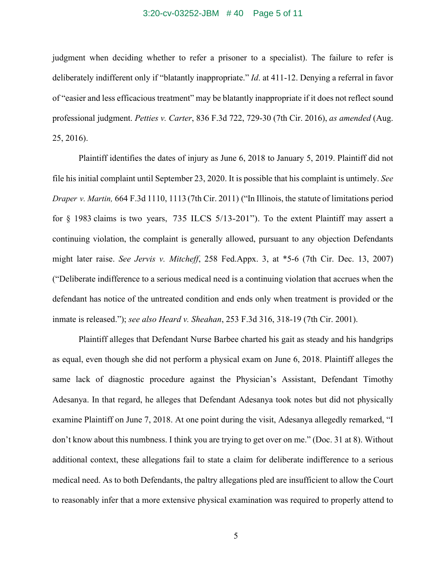#### 3:20-cv-03252-JBM # 40 Page 5 of 11

judgment when deciding whether to refer a prisoner to a specialist). The failure to refer is deliberately indifferent only if "blatantly inappropriate." *Id*. at 411-12. Denying a referral in favor of "easier and less efficacious treatment" may be blatantly inappropriate if it does not reflect sound professional judgment. *Petties v. Carter*, 836 F.3d 722, 729-30 (7th Cir. 2016), *as amended* (Aug. 25, 2016).

Plaintiff identifies the dates of injury as June 6, 2018 to January 5, 2019. Plaintiff did not file his initial complaint until September 23, 2020. It is possible that his complaint is untimely. *See Draper v. Martin,* 664 F.3d 1110, 1113 (7th Cir. 2011) ("In Illinois, the statute of limitations period for § 1983 claims is two years, 735 ILCS 5/13-201"). To the extent Plaintiff may assert a continuing violation, the complaint is generally allowed, pursuant to any objection Defendants might later raise. *See Jervis v. Mitcheff*, 258 Fed.Appx. 3, at \*5-6 (7th Cir. Dec. 13, 2007) ("Deliberate indifference to a serious medical need is a continuing violation that accrues when the defendant has notice of the untreated condition and ends only when treatment is provided or the inmate is released."); *see also Heard v. Sheahan*, 253 F.3d 316, 318-19 (7th Cir. 2001).

Plaintiff alleges that Defendant Nurse Barbee charted his gait as steady and his handgrips as equal, even though she did not perform a physical exam on June 6, 2018. Plaintiff alleges the same lack of diagnostic procedure against the Physician's Assistant, Defendant Timothy Adesanya. In that regard, he alleges that Defendant Adesanya took notes but did not physically examine Plaintiff on June 7, 2018. At one point during the visit, Adesanya allegedly remarked, "I don't know about this numbness. I think you are trying to get over on me." (Doc. 31 at 8). Without additional context, these allegations fail to state a claim for deliberate indifference to a serious medical need. As to both Defendants, the paltry allegations pled are insufficient to allow the Court to reasonably infer that a more extensive physical examination was required to properly attend to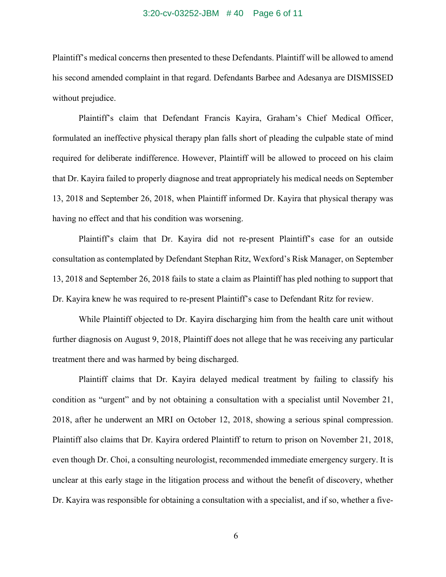#### 3:20-cv-03252-JBM # 40 Page 6 of 11

Plaintiff's medical concerns then presented to these Defendants. Plaintiff will be allowed to amend his second amended complaint in that regard. Defendants Barbee and Adesanya are DISMISSED without prejudice.

Plaintiff's claim that Defendant Francis Kayira, Graham's Chief Medical Officer, formulated an ineffective physical therapy plan falls short of pleading the culpable state of mind required for deliberate indifference. However, Plaintiff will be allowed to proceed on his claim that Dr. Kayira failed to properly diagnose and treat appropriately his medical needs on September 13, 2018 and September 26, 2018, when Plaintiff informed Dr. Kayira that physical therapy was having no effect and that his condition was worsening.

Plaintiff's claim that Dr. Kayira did not re-present Plaintiff's case for an outside consultation as contemplated by Defendant Stephan Ritz, Wexford's Risk Manager, on September 13, 2018 and September 26, 2018 fails to state a claim as Plaintiff has pled nothing to support that Dr. Kayira knew he was required to re-present Plaintiff's case to Defendant Ritz for review.

While Plaintiff objected to Dr. Kayira discharging him from the health care unit without further diagnosis on August 9, 2018, Plaintiff does not allege that he was receiving any particular treatment there and was harmed by being discharged.

Plaintiff claims that Dr. Kayira delayed medical treatment by failing to classify his condition as "urgent" and by not obtaining a consultation with a specialist until November 21, 2018, after he underwent an MRI on October 12, 2018, showing a serious spinal compression. Plaintiff also claims that Dr. Kayira ordered Plaintiff to return to prison on November 21, 2018, even though Dr. Choi, a consulting neurologist, recommended immediate emergency surgery. It is unclear at this early stage in the litigation process and without the benefit of discovery, whether Dr. Kayira was responsible for obtaining a consultation with a specialist, and if so, whether a five-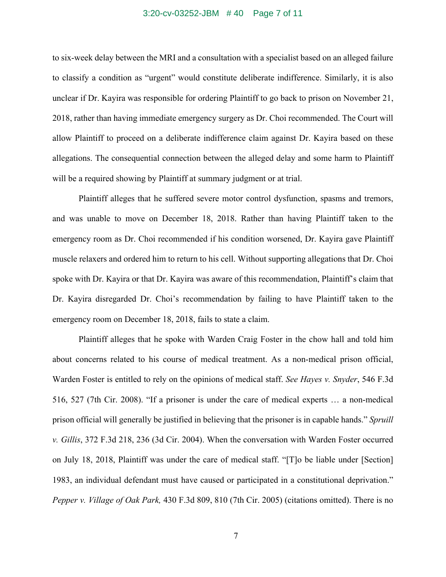#### 3:20-cv-03252-JBM # 40 Page 7 of 11

to six-week delay between the MRI and a consultation with a specialist based on an alleged failure to classify a condition as "urgent" would constitute deliberate indifference. Similarly, it is also unclear if Dr. Kayira was responsible for ordering Plaintiff to go back to prison on November 21, 2018, rather than having immediate emergency surgery as Dr. Choi recommended. The Court will allow Plaintiff to proceed on a deliberate indifference claim against Dr. Kayira based on these allegations. The consequential connection between the alleged delay and some harm to Plaintiff will be a required showing by Plaintiff at summary judgment or at trial.

Plaintiff alleges that he suffered severe motor control dysfunction, spasms and tremors, and was unable to move on December 18, 2018. Rather than having Plaintiff taken to the emergency room as Dr. Choi recommended if his condition worsened, Dr. Kayira gave Plaintiff muscle relaxers and ordered him to return to his cell. Without supporting allegations that Dr. Choi spoke with Dr. Kayira or that Dr. Kayira was aware of this recommendation, Plaintiff's claim that Dr. Kayira disregarded Dr. Choi's recommendation by failing to have Plaintiff taken to the emergency room on December 18, 2018, fails to state a claim.

Plaintiff alleges that he spoke with Warden Craig Foster in the chow hall and told him about concerns related to his course of medical treatment. As a non-medical prison official, Warden Foster is entitled to rely on the opinions of medical staff. *See Hayes v. Snyder*, 546 F.3d 516, 527 (7th Cir. 2008). "If a prisoner is under the care of medical experts … a non-medical prison official will generally be justified in believing that the prisoner is in capable hands." *Spruill v. Gillis*, 372 F.3d 218, 236 (3d Cir. 2004). When the conversation with Warden Foster occurred on July 18, 2018, Plaintiff was under the care of medical staff. "[T]o be liable under [Section] 1983, an individual defendant must have caused or participated in a constitutional deprivation." *Pepper v. Village of Oak Park,* 430 F.3d 809, 810 (7th Cir. 2005) (citations omitted). There is no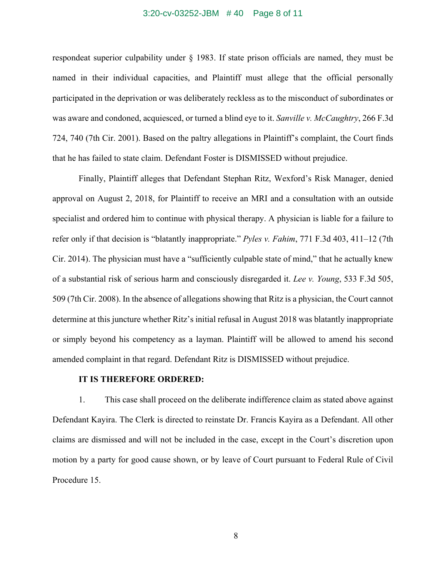#### 3:20-cv-03252-JBM # 40 Page 8 of 11

respondeat superior culpability under § 1983. If state prison officials are named, they must be named in their individual capacities, and Plaintiff must allege that the official personally participated in the deprivation or was deliberately reckless as to the misconduct of subordinates or was aware and condoned, acquiesced, or turned a blind eye to it. *Sanville v. McCaughtry*, 266 F.3d 724, 740 (7th Cir. 2001). Based on the paltry allegations in Plaintiff's complaint, the Court finds that he has failed to state claim. Defendant Foster is DISMISSED without prejudice.

Finally, Plaintiff alleges that Defendant Stephan Ritz, Wexford's Risk Manager, denied approval on August 2, 2018, for Plaintiff to receive an MRI and a consultation with an outside specialist and ordered him to continue with physical therapy. A physician is liable for a failure to refer only if that decision is "blatantly inappropriate." *Pyles v. Fahim*, 771 F.3d 403, 411–12 (7th Cir. 2014). The physician must have a "sufficiently culpable state of mind," that he actually knew of a substantial risk of serious harm and consciously disregarded it. *Lee v. Young*, 533 F.3d 505, 509 (7th Cir. 2008). In the absence of allegations showing that Ritz is a physician, the Court cannot determine at this juncture whether Ritz's initial refusal in August 2018 was blatantly inappropriate or simply beyond his competency as a layman. Plaintiff will be allowed to amend his second amended complaint in that regard. Defendant Ritz is DISMISSED without prejudice.

### **IT IS THEREFORE ORDERED:**

1. This case shall proceed on the deliberate indifference claim as stated above against Defendant Kayira. The Clerk is directed to reinstate Dr. Francis Kayira as a Defendant. All other claims are dismissed and will not be included in the case, except in the Court's discretion upon motion by a party for good cause shown, or by leave of Court pursuant to Federal Rule of Civil Procedure 15.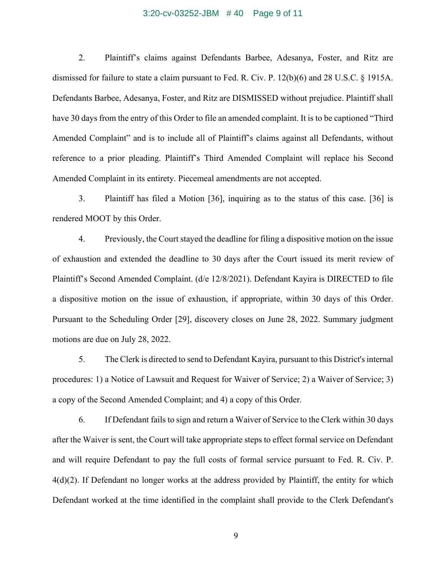#### 3:20-cv-03252-JBM # 40 Page 9 of 11

2. Plaintiff's claims against Defendants Barbee, Adesanya, Foster, and Ritz are dismissed for failure to state a claim pursuant to Fed. R. Civ. P. 12(b)(6) and 28 U.S.C. § 1915A. Defendants Barbee, Adesanya, Foster, and Ritz are DISMISSED without prejudice. Plaintiff shall have 30 days from the entry of this Order to file an amended complaint. It is to be captioned "Third Amended Complaint" and is to include all of Plaintiff's claims against all Defendants, without reference to a prior pleading. Plaintiff's Third Amended Complaint will replace his Second Amended Complaint in its entirety. Piecemeal amendments are not accepted.

3. Plaintiff has filed a Motion [36], inquiring as to the status of this case. [36] is rendered MOOT by this Order.

4. Previously, the Court stayed the deadline for filing a dispositive motion on the issue of exhaustion and extended the deadline to 30 days after the Court issued its merit review of Plaintiff's Second Amended Complaint. (d/e 12/8/2021). Defendant Kayira is DIRECTED to file a dispositive motion on the issue of exhaustion, if appropriate, within 30 days of this Order. Pursuant to the Scheduling Order [29], discovery closes on June 28, 2022. Summary judgment motions are due on July 28, 2022.

5. The Clerk is directed to send to Defendant Kayira, pursuant to this District's internal procedures: 1) a Notice of Lawsuit and Request for Waiver of Service; 2) a Waiver of Service; 3) a copy of the Second Amended Complaint; and 4) a copy of this Order.

6. If Defendant fails to sign and return a Waiver of Service to the Clerk within 30 days after the Waiver is sent, the Court will take appropriate steps to effect formal service on Defendant and will require Defendant to pay the full costs of formal service pursuant to Fed. R. Civ. P. 4(d)(2). If Defendant no longer works at the address provided by Plaintiff, the entity for which Defendant worked at the time identified in the complaint shall provide to the Clerk Defendant's

9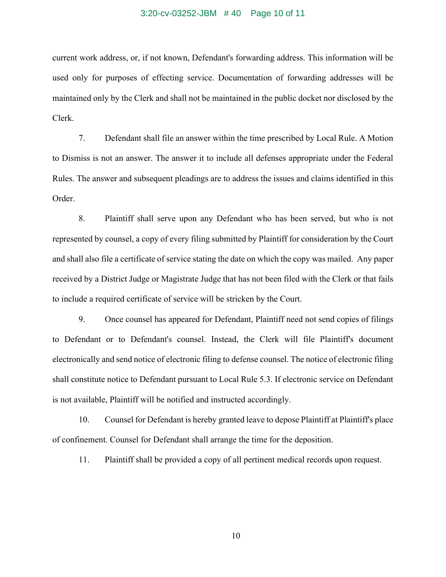# 3:20-cv-03252-JBM # 40 Page 10 of 11

current work address, or, if not known, Defendant's forwarding address. This information will be used only for purposes of effecting service. Documentation of forwarding addresses will be maintained only by the Clerk and shall not be maintained in the public docket nor disclosed by the Clerk.

7. Defendant shall file an answer within the time prescribed by Local Rule. A Motion to Dismiss is not an answer. The answer it to include all defenses appropriate under the Federal Rules. The answer and subsequent pleadings are to address the issues and claims identified in this Order.

8. Plaintiff shall serve upon any Defendant who has been served, but who is not represented by counsel, a copy of every filing submitted by Plaintiff for consideration by the Court and shall also file a certificate of service stating the date on which the copy was mailed. Any paper received by a District Judge or Magistrate Judge that has not been filed with the Clerk or that fails to include a required certificate of service will be stricken by the Court.

9. Once counsel has appeared for Defendant, Plaintiff need not send copies of filings to Defendant or to Defendant's counsel. Instead, the Clerk will file Plaintiff's document electronically and send notice of electronic filing to defense counsel. The notice of electronic filing shall constitute notice to Defendant pursuant to Local Rule 5.3. If electronic service on Defendant is not available, Plaintiff will be notified and instructed accordingly.

10. Counsel for Defendant is hereby granted leave to depose Plaintiff at Plaintiff's place of confinement. Counsel for Defendant shall arrange the time for the deposition.

11. Plaintiff shall be provided a copy of all pertinent medical records upon request.

10